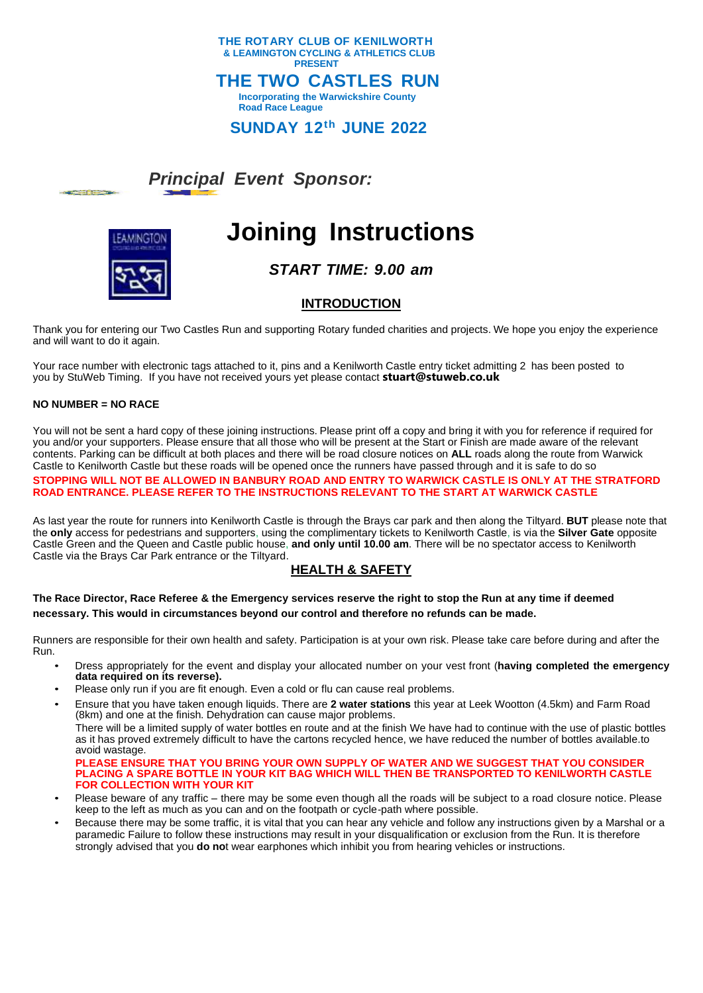

## *Principal Event Sponsor:*



# **Joining Instructions**

*START TIME: 9.00 am*

## **INTRODUCTION**

Thank you for entering our Two Castles Run and supporting Rotary funded charities and projects. We hope you enjoy the experience and will want to do it again.

Your race number with electronic tags attached to it, pins and a Kenilworth Castle entry ticket admitting 2 has been posted to you by StuWeb Timing. If you have not received yours yet please contact **stuart@stuweb.co.uk**

#### **NO NUMBER = NO RACE**

المتوازن والمتبار

You will not be sent a hard copy of these joining instructions. Please print off a copy and bring it with you for reference if required for you and/or your supporters. Please ensure that all those who will be present at the Start or Finish are made aware of the relevant contents. Parking can be difficult at both places and there will be road closure notices on **ALL** roads along the route from Warwick Castle to Kenilworth Castle but these roads will be opened once the runners have passed through and it is safe to do so

**STOPPING WILL NOT BE ALLOWED IN BANBURY ROAD AND ENTRY TO WARWICK CASTLE IS ONLY AT THE STRATFORD ROAD ENTRANCE. PLEASE REFER TO THE INSTRUCTIONS RELEVANT TO THE START AT WARWICK CASTLE**

As last year the route for runners into Kenilworth Castle is through the Brays car park and then along the Tiltyard. **BUT** please note that the **only** access for pedestrians and supporters, using the complimentary tickets to Kenilworth Castle, is via the **Silver Gate** opposite Castle Green and the Queen and Castle public house, **and only until 10.00 am**. There will be no spectator access to Kenilworth Castle via the Brays Car Park entrance or the Tiltyard.

## **HEALTH & SAFETY**

**The Race Director, Race Referee & the Emergency services reserve the right to stop the Run at any time if deemed necessary. This would in circumstances beyond our control and therefore no refunds can be made.**

Runners are responsible for their own health and safety. Participation is at your own risk. Please take care before during and after the Run.

- Dress appropriately for the event and display your allocated number on your vest front (**having completed the emergency data required on its reverse).**
- Please only run if you are fit enough. Even a cold or flu can cause real problems.
- Ensure that you have taken enough liquids. There are **2 water stations** this year at Leek Wootton (4.5km) and Farm Road (8km) and one at the finish. Dehydration can cause major problems.

There will be a limited supply of water bottles en route and at the finish We have had to continue with the use of plastic bottles as it has proved extremely difficult to have the cartons recycled hence, we have reduced the number of bottles available.to avoid wastage.

**PLEASE ENSURE THAT YOU BRING YOUR OWN SUPPLY OF WATER AND WE SUGGEST THAT YOU CONSIDER PLACING A SPARE BOTTLE IN YOUR KIT BAG WHICH WILL THEN BE TRANSPORTED TO KENILWORTH CASTLE FOR COLLECTION WITH YOUR KIT**

- Please beware of any traffic there may be some even though all the roads will be subject to a road closure notice. Please keep to the left as much as you can and on the footpath or cycle-path where possible.
- Because there may be some traffic, it is vital that you can hear any vehicle and follow any instructions given by a Marshal or a paramedic Failure to follow these instructions may result in your disqualification or exclusion from the Run. It is therefore strongly advised that you **do no**t wear earphones which inhibit you from hearing vehicles or instructions.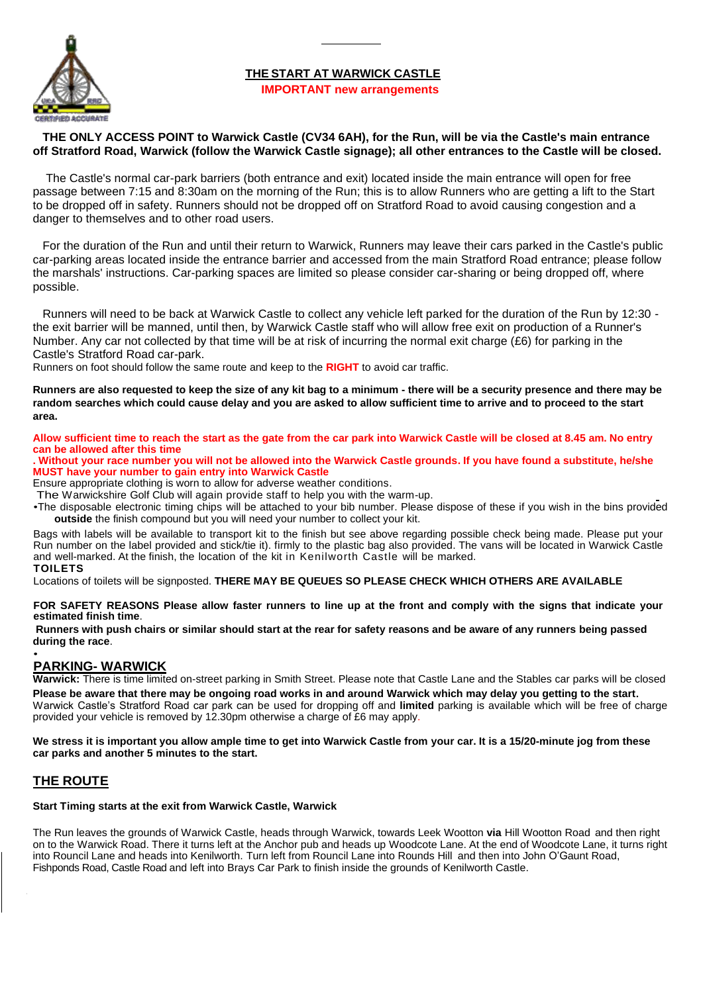## **THE START AT WARWICK CASTLE**



#### **IMPORTANT new arrangements**

#### **THE ONLY ACCESS POINT to Warwick Castle (CV34 6AH), for the Run, will be via the Castle's main entrance off Stratford Road, Warwick (follow the Warwick Castle signage); all other entrances to the Castle will be closed.**

The Castle's normal car-park barriers (both entrance and exit) located inside the main entrance will open for free passage between 7:15 and 8:30am on the morning of the Run; this is to allow Runners who are getting a lift to the Start to be dropped off in safety. Runners should not be dropped off on Stratford Road to avoid causing congestion and a danger to themselves and to other road users.

For the duration of the Run and until their return to Warwick, Runners may leave their cars parked in the Castle's public car-parking areas located inside the entrance barrier and accessed from the main Stratford Road entrance; please follow the marshals' instructions. Car-parking spaces are limited so please consider car-sharing or being dropped off, where possible.

Runners will need to be back at Warwick Castle to collect any vehicle left parked for the duration of the Run by 12:30 the exit barrier will be manned, until then, by Warwick Castle staff who will allow free exit on production of a Runner's Number. Any car not collected by that time will be at risk of incurring the normal exit charge (£6) for parking in the Castle's Stratford Road car-park.

Runners on foot should follow the same route and keep to the **RIGHT** to avoid car traffic.

**Runners are also requested to keep the size of any kit bag to a minimum - there will be a security presence and there may be random searches which could cause delay and you are asked to allow sufficient time to arrive and to proceed to the start area.**

**Allow sufficient time to reach the start as the gate from the car park into Warwick Castle will be closed at 8.45 am. No entry can be allowed after this time**

**. Without your race number you will not be allowed into the Warwick Castle grounds. If you have found a substitute, he/she MUST have your number to gain entry into Warwick Castle**

Ensure appropriate clothing is worn to allow for adverse weather conditions.

The Warwickshire Golf Club will again provide staff to help you with the warm-up.

•The disposable electronic timing chips will be attached to your bib number. Please dispose of these if you wish in the bins provided **outside** the finish compound but you will need your number to collect your kit.

Bags with labels will be available to transport kit to the finish but see above regarding possible check being made. Please put your Run number on the label provided and stick/tie it). firmly to the plastic bag also provided. The vans will be located in Warwick Castle and well-marked. At the finish, the location of the kit in Kenilworth Castle will be marked.

#### **TOILETS**

Locations of toilets will be signposted. **THERE MAY BE QUEUES SO PLEASE CHECK WHICH OTHERS ARE AVAILABLE**

#### **FOR SAFETY REASONS Please allow faster runners to line up at the front and comply with the signs that indicate your estimated finish time**.

**Runners with push chairs or similar should start at the rear for safety reasons and be aware of any runners being passed during the race**.

#### • **PARKING- WARWICK**

**Warwick:** There is time limited on-street parking in Smith Street. Please note that Castle Lane and the Stables car parks will be closed **Please be aware that there may be ongoing road works in and around Warwick which may delay you getting to the start**.

Warwick Castle's Stratford Road car park can be used for dropping off and **limited** parking is available which will be free of charge provided your vehicle is removed by 12.30pm otherwise a charge of £6 may apply.

**We stress it is important you allow ample time to get into Warwick Castle from your car. It is a 15/20-minute jog from these car parks and another 5 minutes to the start.**

## **THE ROUTE**

#### **Start Timing starts at the exit from Warwick Castle, Warwick**

The Run leaves the grounds of Warwick Castle, heads through Warwick, towards Leek Wootton **via** Hill Wootton Road and then right on to the Warwick Road. There it turns left at the Anchor pub and heads up Woodcote Lane. At the end of Woodcote Lane, it turns right into Rouncil Lane and heads into Kenilworth. Turn left from Rouncil Lane into Rounds Hill and then into John O'Gaunt Road, Fishponds Road, Castle Road and left into Brays Car Park to finish inside the grounds of Kenilworth Castle.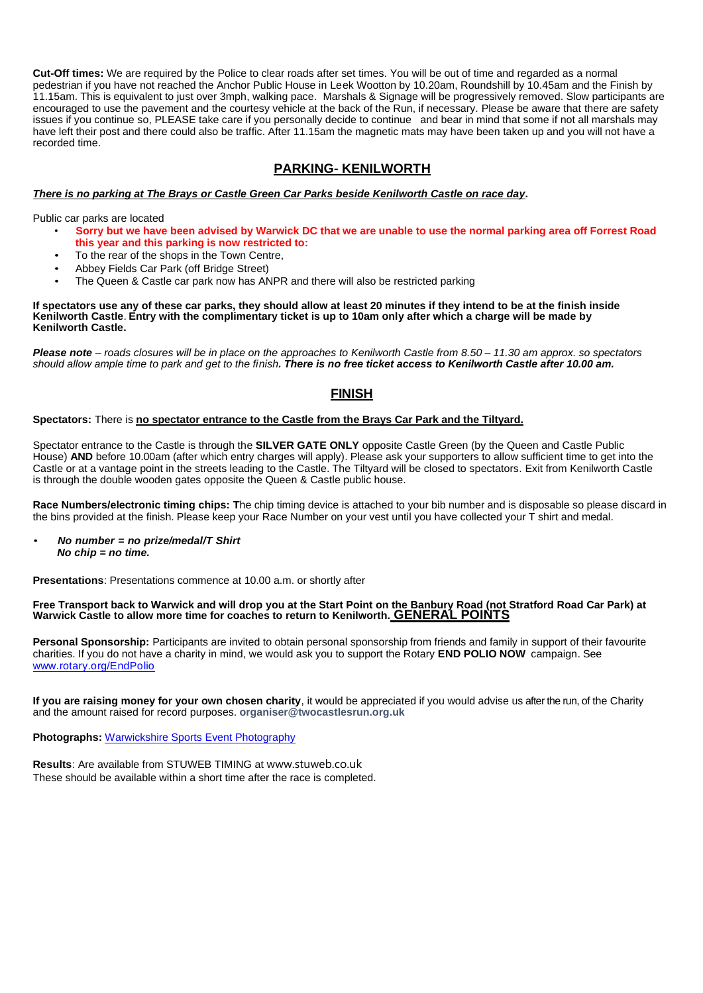**Cut-Off times:** We are required by the Police to clear roads after set times. You will be out of time and regarded as a normal pedestrian if you have not reached the Anchor Public House in Leek Wootton by 10.20am, Roundshill by 10.45am and the Finish by 11.15am. This is equivalent to just over 3mph, walking pace. Marshals & Signage will be progressively removed. Slow participants are encouraged to use the pavement and the courtesy vehicle at the back of the Run, if necessary. Please be aware that there are safety issues if you continue so, PLEASE take care if you personally decide to continue and bear in mind that some if not all marshals may have left their post and there could also be traffic. After 11.15am the magnetic mats may have been taken up and you will not have a recorded time.

## **PARKING- KENILWORTH**

#### *There is no parking at The Brays or Castle Green Car Parks beside Kenilworth Castle on race day***.**

Public car parks are located

- **Sorry but we have been advised by Warwick DC that we are unable to use the normal parking area off Forrest Road this year and this parking is now restricted to:**
- To the rear of the shops in the Town Centre,
- Abbey Fields Car Park (off Bridge Street)
- The Queen & Castle car park now has ANPR and there will also be restricted parking

**If spectators use any of these car parks, they should allow at least 20 minutes if they intend to be at the finish inside Kenilworth Castle**. **Entry with the complimentary ticket is up to 10am only after which a charge will be made by Kenilworth Castle.**

*Please note – roads closures will be in place on the approaches to Kenilworth Castle from 8.50 – 11.30 am approx. so spectators should allow ample time to park and get to the finish. There is no free ticket access to Kenilworth Castle after 10.00 am.*

#### **FINISH**

#### **Spectators:** There is **no spectator entrance to the Castle from the Brays Car Park and the Tiltyard.**

Spectator entrance to the Castle is through the **SILVER GATE ONLY** opposite Castle Green (by the Queen and Castle Public House) AND before 10.00am (after which entry charges will apply). Please ask your supporters to allow sufficient time to get into the Castle or at a vantage point in the streets leading to the Castle. The Tiltyard will be closed to spectators. Exit from Kenilworth Castle is through the double wooden gates opposite the Queen & Castle public house.

**Race Numbers/electronic timing chips: T**he chip timing device is attached to your bib number and is disposable so please discard in the bins provided at the finish. Please keep your Race Number on your vest until you have collected your T shirt and medal.

• *No number = no prize/medal/T Shirt No chip = no time.*

**Presentations**: Presentations commence at 10.00 a.m. or shortly after

Free Transport back to Warwick and will drop you at the Start Point on the Banbury Road (not Stratford Road Car Park) at<br>Warwick Castle to allow more time for coaches to return to Kenilworth.<u> GENERAL POINTS</u>

**Personal Sponsorship:** Participants are invited to obtain personal sponsorship from friends and family in support of their favourite charities. If you do not have a charity in mind, we would ask you to support the Rotary **END POLIO NOW** campaign. See www.rotary.org/EndPolio

**If you are raising money for your own chosen charity**, it would be appreciated if you would advise us after the run, of the Charity and the amount raised for record purposes. **organiser@twocastlesrun.org.uk**

**Photographs:** [Warwickshire Sports](http://www.coventry-event-photography.co.uk/) Event Photography

**Results**: Are available from STUWEB TIMING at www.stuweb.co.uk These should be available within a short time after the race is completed.